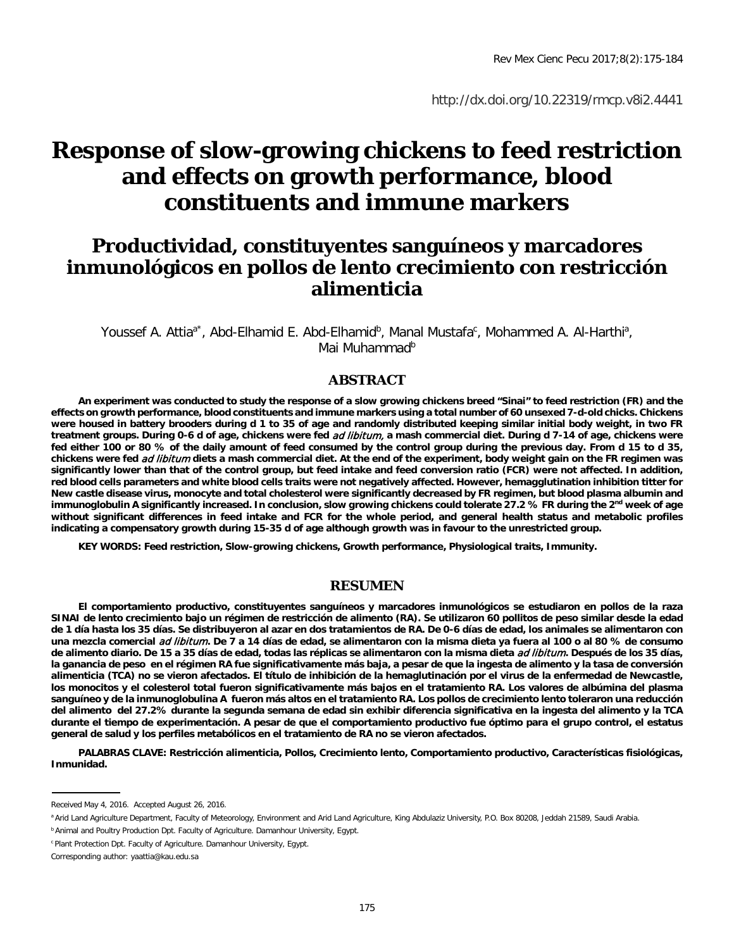http://dx.doi.org/10.22319/rmcp.v8i2.4441

# **Response of slow-growing chickens to feed restriction and effects on growth performance, blood constituents and immune markers**

## **Productividad, constituyentes sanguíneos y marcadores inmunológicos en pollos de lento crecimiento con restricción alimenticia**

Youssef A. Attia<sup>a\*</sup>, Abd-Elhamid E. Abd-Elhamid<sup>b</sup>, Manal Mustafa<sup>c</sup>, Mohammed A. Al-Harthi<sup>a</sup>, Mai Muhammad<sup>b</sup>

#### **ABSTRACT**

**An experiment was conducted to study the response of a slow growing chickens breed "Sinai" to feed restriction (FR) and the effects on growth performance, blood constituents and immune markers using a total number of 60 unsexed 7-d-old chicks. Chickens were housed in battery brooders during d 1 to 35 of age and randomly distributed keeping similar initial body weight, in two FR treatment groups. During 0-6 d of age, chickens were fed** ad libitum, **a mash commercial diet. During d 7-14 of age, chickens were fed either 100 or 80 % of the daily amount of feed consumed by the control group during the previous day. From d 15 to d 35, chickens were fed** ad libitum **diets a mash commercial diet. At the end of the experiment, body weight gain on the FR regimen was significantly lower than that of the control group, but feed intake and feed conversion ratio (FCR) were not affected. In addition, red blood cells parameters and white blood cells traits were not negatively affected. However, hemagglutination inhibition titter for New castle disease virus, monocyte and total cholesterol were significantly decreased by FR regimen, but blood plasma albumin and immunoglobulin A significantly increased. In conclusion, slow growing chickens could tolerate 27.2 % FR during the 2nd week of age without significant differences in feed intake and FCR for the whole period, and general health status and metabolic profiles indicating a compensatory growth during 15-35 d of age although growth was in favour to the unrestricted group.** 

**KEY WORDS: Feed restriction, Slow-growing chickens, Growth performance, Physiological traits, Immunity.**

#### **RESUMEN**

**El comportamiento productivo, constituyentes sanguíneos y marcadores inmunológicos se estudiaron en pollos de la raza SINAI de lento crecimiento bajo un régimen de restricción de alimento (RA). Se utilizaron 60 pollitos de peso similar desde la edad de 1 día hasta los 35 días. Se distribuyeron al azar en dos tratamientos de RA. De 0-6 días de edad, los animales se alimentaron con una mezcla comercial** ad libitum**. De 7 a 14 días de edad, se alimentaron con la misma dieta ya fuera al 100 o al 80 % de consumo**  de alimento diario. De 15 a 35 días de edad, todas las réplicas se alimentaron con la misma dieta ad libitum. Después de los 35 días, **la ganancia de peso en el régimen RA fue significativamente más baja, a pesar de que la ingesta de alimento y la tasa de conversión alimenticia (TCA) no se vieron afectados. El título de inhibición de la hemaglutinación por el virus de la enfermedad de Newcastle, los monocitos y el colesterol total fueron significativamente más bajos en el tratamiento RA. Los valores de albúmina del plasma sanguíneo y de la inmunoglobulina A fueron más altos en el tratamiento RA. Los pollos de crecimiento lento toleraron una reducción del alimento del 27.2% durante la segunda semana de edad sin exhibir diferencia significativa en la ingesta del alimento y la TCA durante el tiempo de experimentación. A pesar de que el comportamiento productivo fue óptimo para el grupo control, el estatus general de salud y los perfiles metabólicos en el tratamiento de RA no se vieron afectados.** 

**PALABRAS CLAVE: Restricción alimenticia, Pollos, Crecimiento lento, Comportamiento productivo, Características fisiológicas, Inmunidad.**

**b Animal and Poultry Production Dpt. Faculty of Agriculture. Damanhour University, Egypt.** 

Received May 4, 2016. Accepted August 26, 2016.

<sup>&</sup>lt;sup>a</sup> Arid Land Agriculture Department, Faculty of Meteorology, Environment and Arid Land Agriculture, King Abdulaziz University, P.O. Box 80208, Jeddah 21589, Saudi Arabia.

<sup>c</sup> Plant Protection Dpt. Faculty of Agriculture. Damanhour University, Egypt.

Corresponding author: yaattia@kau.edu.sa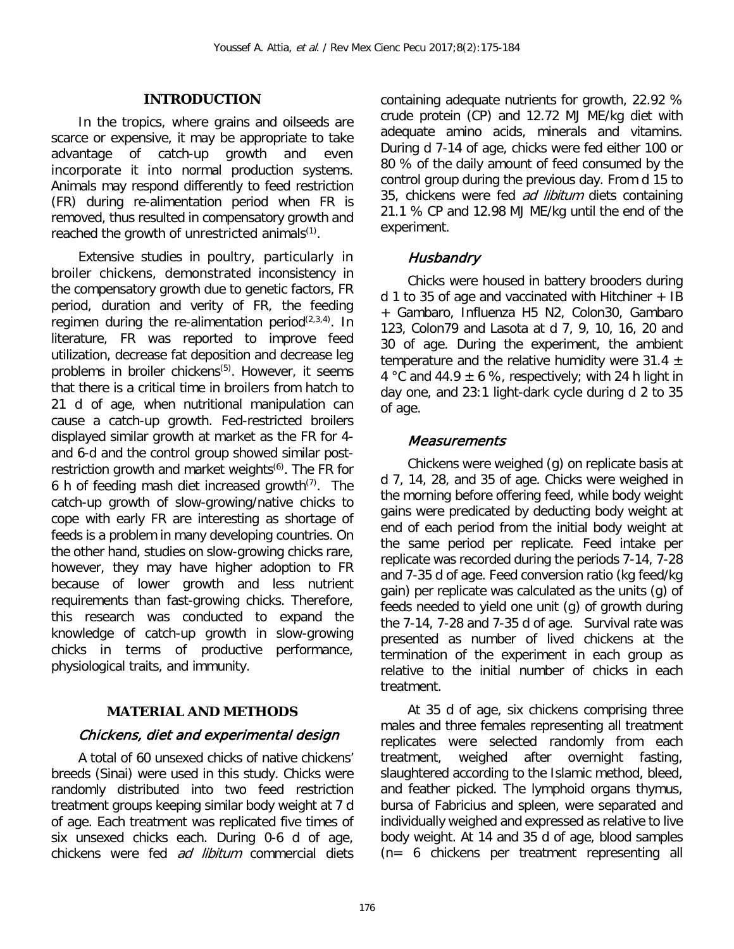#### **INTRODUCTION**

In the tropics, where grains and oilseeds are scarce or expensive, it may be appropriate to take advantage of catch-up growth and even incorporate it into normal production systems. Animals may respond differently to feed restriction (FR) during re-alimentation period when FR is removed, thus resulted in compensatory growth and reached the growth of unrestricted animals<sup>(1)</sup>.

Extensive studies in poultry, particularly in broiler chickens, demonstrated inconsistency in the compensatory growth due to genetic factors, FR period, duration and verity of FR, the feeding regimen during the re-alimentation period<sup>(2,3,4)</sup>. In literature, FR was reported to improve feed utilization, decrease fat deposition and decrease leg problems in broiler chickens*<sup>P</sup>* (5)*<sup>P</sup>*. However, it seems that there is a critical time in broilers from hatch to 21 d of age, when nutritional manipulation can cause a catch-up growth. Fed-restricted broilers displayed similar growth at market as the FR for 4 and 6-d and the control group showed similar postrestriction growth and market weights<sup>(6)</sup>. The FR for 6 h of feeding mash diet increased growth<sup>(7)</sup>. The catch-up growth of slow-growing/native chicks to cope with early FR are interesting as shortage of feeds is a problem in many developing countries. On the other hand, studies on slow-growing chicks rare, however, they may have higher adoption to FR because of lower growth and less nutrient requirements than fast-growing chicks. Therefore, this research was conducted to expand the knowledge of catch-up growth in slow-growing chicks in terms of productive performance, physiological traits, and immunity.

#### **MATERIAL AND METHODS**

#### Chickens, diet and experimental design

A total of 60 unsexed chicks of native chickens' breeds (Sinai) were used in this study. Chicks were randomly distributed into two feed restriction treatment groups keeping similar body weight at 7 d of age. Each treatment was replicated five times of six unsexed chicks each. During 0-6 d of age, chickens were fed *ad libitum* commercial diets

containing adequate nutrients for growth, 22.92 % crude protein (CP) and 12.72 MJ ME/kg diet with adequate amino acids, minerals and vitamins. During d 7-14 of age, chicks were fed either 100 or 80 % of the daily amount of feed consumed by the control group during the previous day. From d 15 to 35, chickens were fed *ad libitum* diets containing 21.1 % CP and 12.98 MJ ME/kg until the end of the experiment.

#### **Husbandry**

Chicks were housed in battery brooders during d 1 to 35 of age and vaccinated with Hitchiner + IB + Gambaro, Influenza H5 N2, Colon30, Gambaro 123, Colon79 and Lasota at d 7, 9, 10, 16, 20 and 30 of age. During the experiment, the ambient temperature and the relative humidity were 31.4  $\pm$ 4 °C and 44.9  $\pm$  6 %, respectively; with 24 h light in day one, and 23:1 light-dark cycle during d 2 to 35 of age.

#### Measurements

Chickens were weighed (g) on replicate basis at d 7, 14, 28, and 35 of age. Chicks were weighed in the morning before offering feed, while body weight gains were predicated by deducting body weight at end of each period from the initial body weight at the same period per replicate. Feed intake per replicate was recorded during the periods 7-14, 7-28 and 7-35 d of age. Feed conversion ratio (kg feed/kg gain) per replicate was calculated as the units (g) of feeds needed to yield one unit (g) of growth during the 7-14, 7-28 and 7-35 d of age. Survival rate was presented as number of lived chickens at the termination of the experiment in each group as relative to the initial number of chicks in each treatment.

At 35 d of age, six chickens comprising three males and three females representing all treatment replicates were selected randomly from each treatment, weighed after overnight fasting, slaughtered according to the Islamic method, bleed, and feather picked. The lymphoid organs thymus, bursa of Fabricius and spleen, were separated and individually weighed and expressed as relative to live body weight. At 14 and 35 d of age, blood samples (n= 6 chickens per treatment representing all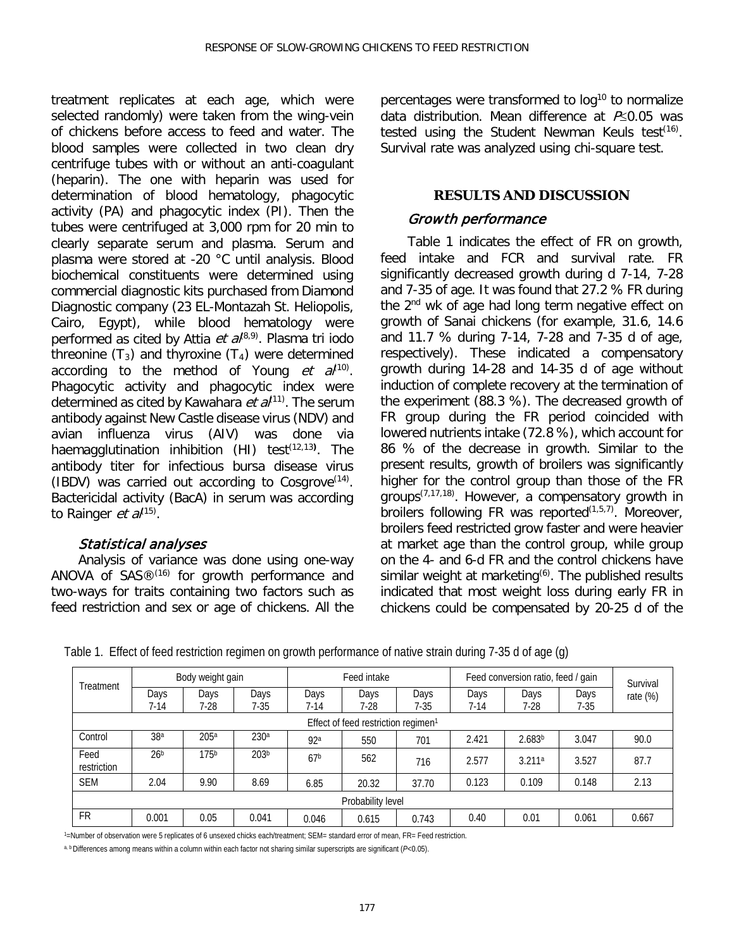treatment replicates at each age, which were selected randomly) were taken from the wing-vein of chickens before access to feed and water. The blood samples were collected in two clean dry centrifuge tubes with or without an anti-coagulant (heparin). The one with heparin was used for determination of blood hematology, phagocytic activity (PA) and phagocytic index (PI). Then the tubes were centrifuged at 3,000 rpm for 20 min to clearly separate serum and plasma. Serum and plasma were stored at -20 °C until analysis. Blood biochemical constituents were determined using commercial diagnostic kits purchased from Diamond Diagnostic company (23 EL-Montazah St. Heliopolis, Cairo, Egypt), while blood hematology were performed as cited by Attia *et al*<sup> $(8,9)$ </sup>. Plasma tri iodo threonine  $(T_3)$  and thyroxine  $(T_4)$  were determined according to the method of Young et  $a^{(10)}$ . Phagocytic activity and phagocytic index were determined as cited by Kawahara *et al*<sup>(11)</sup>. The serum antibody against New Castle disease virus (NDV) and avian influenza virus (AIV) was done via haemagglutination inhibition (HI) test(12,13**)** . The antibody titer for infectious bursa disease virus (IBDV) was carried out according to Cosgrove $(14)$ . Bactericidal activity (BacA) in serum was according to Rainger  $et \, al^{(15)}$ .

#### Statistical analyses

Analysis of variance was done using one-way ANOVA of  $SAS@^{(16)}$  for growth performance and two-ways for traits containing two factors such as feed restriction and sex or age of chickens. All the

percentages were transformed to log<sup>10</sup> to normalize data distribution. Mean difference at  $P\leq 0.05$  was tested using the Student Newman Keuls test<sup>(16)</sup>. Survival rate was analyzed using chi-square test.

#### **RESULTS AND DISCUSSION**

#### Growth performance

Table 1 indicates the effect of FR on growth, feed intake and FCR and survival rate. FR significantly decreased growth during d 7-14, 7-28 and 7-35 of age. It was found that 27.2 % FR during the 2<sup>nd</sup> wk of age had long term negative effect on growth of Sanai chickens (for example, 31.6, 14.6 and 11.7 % during 7-14, 7-28 and 7-35 d of age, respectively). These indicated a compensatory growth during 14-28 and 14-35 d of age without induction of complete recovery at the termination of the experiment (88.3 %). The decreased growth of FR group during the FR period coincided with lowered nutrients intake (72.8 %), which account for 86 % of the decrease in growth. Similar to the present results, growth of broilers was significantly higher for the control group than those of the FR groups(7,17,18). However, a compensatory growth in broilers following FR was reported<sup>(1,5,7)</sup>. Moreover, broilers feed restricted grow faster and were heavier at market age than the control group, while group on the 4- and 6-d FR and the control chickens have similar weight at marketing<sup>(6)</sup>. The published results indicated that most weight loss during early FR in chickens could be compensated by 20-25 d of the

| Treatment           | Body weight gain                                |                  |                  | Feed intake     |       |       | Feed conversion ratio, feed / gain | Survival           |        |             |  |
|---------------------|-------------------------------------------------|------------------|------------------|-----------------|-------|-------|------------------------------------|--------------------|--------|-------------|--|
|                     | Days                                            | Days             | Days             | Days            | Days  | Days  | Days                               | Days               | Days   | rate $(\%)$ |  |
|                     | 7-14                                            | 7-28             | 7-35             | 7-14            | 7-28  | 7-35  | 7-14                               | 7-28               | $7-35$ |             |  |
|                     | Effect of feed restriction regimen <sup>1</sup> |                  |                  |                 |       |       |                                    |                    |        |             |  |
| Control             | 38 <sup>a</sup>                                 | 205a             | 230 <sup>a</sup> | 92a             | 550   | 701   | 2.421                              | 2.683 <sup>b</sup> | 3.047  | 90.0        |  |
| Feed<br>restriction | 26 <sup>b</sup>                                 | 175 <sup>b</sup> | 203 <sup>b</sup> | 67 <sup>b</sup> | 562   | 716   | 2.577                              | 3.211a             | 3.527  | 87.7        |  |
| <b>SEM</b>          | 2.04                                            | 9.90             | 8.69             | 6.85            | 20.32 | 37.70 | 0.123                              | 0.109              | 0.148  | 2.13        |  |
| Probability level   |                                                 |                  |                  |                 |       |       |                                    |                    |        |             |  |
| <b>FR</b>           | 0.001                                           | 0.05             | 0.041            | 0.046           | 0.615 | 0.743 | 0.40                               | 0.01               | 0.061  | 0.667       |  |

Table 1. Effect of feed restriction regimen on growth performance of native strain during 7-35 d of age (g)

1=Number of observation were 5 replicates of 6 unsexed chicks each/treatment; SEM= standard error of mean, FR= Feed restriction.

a, b Differences among means within a column within each factor not sharing similar superscripts are significant (*P*<0.05).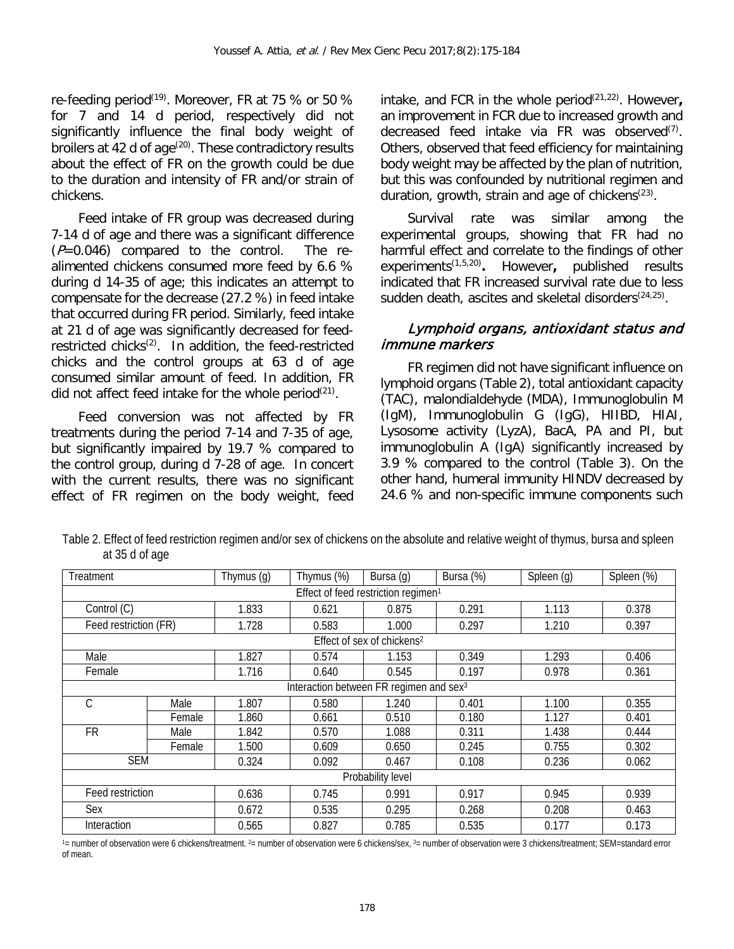re-feeding period<sup>(19)</sup>. Moreover, FR at 75 % or 50 % for 7 and 14 d period, respectively did not significantly influence the final body weight of broilers at  $42$  d of age<sup>(20)</sup>. These contradictory results about the effect of FR on the growth could be due to the duration and intensity of FR and/or strain of chickens.

Feed intake of FR group was decreased during 7-14 d of age and there was a significant difference  $(P=0.046)$  compared to the control. The realimented chickens consumed more feed by 6.6 % during d 14-35 of age; this indicates an attempt to compensate for the decrease (27.2 %) in feed intake that occurred during FR period. Similarly, feed intake at 21 d of age was significantly decreased for feedrestricted chicks<sup> $(2)$ </sup>. In addition, the feed-restricted chicks and the control groups at 63 d of age consumed similar amount of feed. In addition, FR did not affect feed intake for the whole period $(21)$ .

Feed conversion was not affected by FR treatments during the period 7-14 and 7-35 of age, but significantly impaired by 19.7 % compared to the control group, during d 7-28 of age. In concert with the current results, there was no significant effect of FR regimen on the body weight, feed

intake, and FCR in the whole period<sup>(21,22)</sup>. However, an improvement in FCR due to increased growth and decreased feed intake via FR was observed $(7)$ . Others, observed that feed efficiency for maintaining body weight may be affected by the plan of nutrition, but this was confounded by nutritional regimen and duration, growth, strain and age of chickens $(23)$ .

Survival rate was similar among the experimental groups, showing that FR had no harmful effect and correlate to the findings of other experiments(1,5,20)**.** However**,** published results indicated that FR increased survival rate due to less sudden death, ascites and skeletal disorders<sup>(24,25)</sup>.

#### Lymphoid organs, antioxidant status and immune markers

FR regimen did not have significant influence on lymphoid organs (Table 2), total antioxidant capacity (TAC), malondialdehyde (MDA), Immunoglobulin M (IgM), Immunoglobulin G (IgG), HIIBD, HIAI, Lysosome activity (LyzA), BacA, PA and PI, but immunoglobulin A (IgA) significantly increased by 3.9 % compared to the control (Table 3). On the other hand, humeral immunity HINDV decreased by 24.6 % and non-specific immune components such

Table 2. Effect of feed restriction regimen and/or sex of chickens on the absolute and relative weight of thymus, bursa and spleen at 35 d of age

| Treatment                                           |                   | Thymus (g) | Thymus (%) | Bursa (g)                              | Bursa (%) | Spleen (g) | Spleen (%) |  |  |  |  |
|-----------------------------------------------------|-------------------|------------|------------|----------------------------------------|-----------|------------|------------|--|--|--|--|
| Effect of feed restriction regimen <sup>1</sup>     |                   |            |            |                                        |           |            |            |  |  |  |  |
| Control (C)                                         |                   | 1.833      | 0.621      | 0.875                                  | 0.291     | 1.113      | 0.378      |  |  |  |  |
| Feed restriction (FR)                               |                   | 1.728      | 0.583      | 1.000                                  | 0.297     | 1.210      | 0.397      |  |  |  |  |
|                                                     |                   |            |            | Effect of sex of chickens <sup>2</sup> |           |            |            |  |  |  |  |
| Male                                                |                   | 1.827      | 0.574      | 1.153                                  | 0.349     | 1.293      | 0.406      |  |  |  |  |
| Female                                              |                   | 1.716      | 0.640      | 0.545                                  | 0.197     | 0.978      | 0.361      |  |  |  |  |
| Interaction between FR regimen and sex <sup>3</sup> |                   |            |            |                                        |           |            |            |  |  |  |  |
| С                                                   | Male              | 1.807      | 0.580      | 1.240                                  | 0.401     | 1.100      | 0.355      |  |  |  |  |
|                                                     | Female            | 1.860      | 0.661      | 0.510                                  | 0.180     | 1.127      | 0.401      |  |  |  |  |
| <b>FR</b>                                           | Male              | 1.842      | 0.570      | 1.088                                  | 0.311     | 1.438      | 0.444      |  |  |  |  |
|                                                     | Female            | 1.500      | 0.609      | 0.650                                  | 0.245     | 0.755      | 0.302      |  |  |  |  |
| <b>SEM</b>                                          |                   | 0.324      | 0.092      | 0.467                                  | 0.108     | 0.236      | 0.062      |  |  |  |  |
|                                                     | Probability level |            |            |                                        |           |            |            |  |  |  |  |
| Feed restriction                                    |                   | 0.636      | 0.745      | 0.991                                  | 0.917     | 0.945      | 0.939      |  |  |  |  |
| Sex                                                 |                   | 0.672      | 0.535      | 0.295                                  | 0.268     | 0.208      | 0.463      |  |  |  |  |
| Interaction                                         |                   | 0.565      | 0.827      | 0.785                                  | 0.535     | 0.177      | 0.173      |  |  |  |  |

1= number of observation were 6 chickens/treatment. <sup>2</sup>= number of observation were 6 chickens/sex, 3= number of observation were 3 chickens/treatment; SEM=standard error of mean.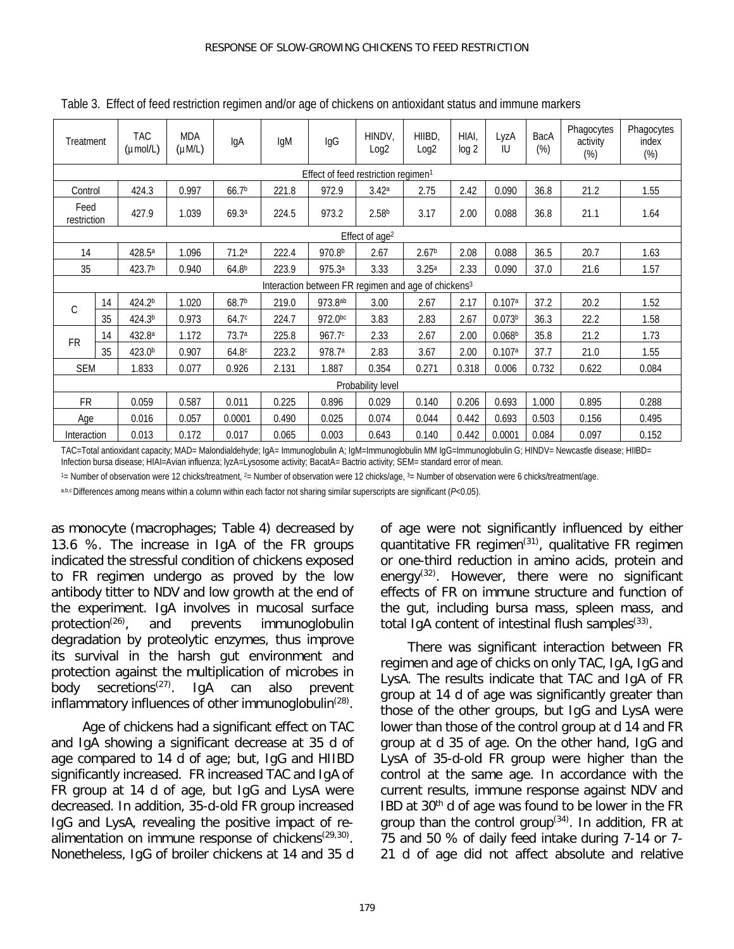| Treatment           |                                                 | <b>TAC</b><br>$(\mu$ mol/L $)$ | <b>MDA</b><br>$(\mu M/L)$ | IgA               | IgM   | lgG                | HINDV,<br>Log <sub>2</sub>                                      | HIIBD.<br>Log <sub>2</sub> | HIAI.<br>log 2 | LyzA<br>IU         | BacA<br>$(\%)$ | Phagocytes<br>activity<br>$(\%)$ | Phagocytes<br>index<br>$(\%)$ |
|---------------------|-------------------------------------------------|--------------------------------|---------------------------|-------------------|-------|--------------------|-----------------------------------------------------------------|----------------------------|----------------|--------------------|----------------|----------------------------------|-------------------------------|
|                     | Effect of feed restriction regimen <sup>1</sup> |                                |                           |                   |       |                    |                                                                 |                            |                |                    |                |                                  |                               |
| Control             |                                                 | 424.3                          | 0.997                     | 66.7 <sup>b</sup> | 221.8 | 972.9              | 3.42a                                                           | 2.75                       | 2.42           | 0.090              | 36.8           | 21.2                             | 1.55                          |
| Feed<br>restriction |                                                 | 427.9                          | 1.039                     | 69.3a             | 224.5 | 973.2              | 2.58 <sup>b</sup>                                               | 3.17                       | 2.00           | 0.088              | 36.8           | 21.1                             | 1.64                          |
|                     |                                                 |                                |                           |                   |       |                    | Effect of age <sup>2</sup>                                      |                            |                |                    |                |                                  |                               |
| 14                  |                                                 | 428.5ª                         | 1.096                     | 71.2 <sup>a</sup> | 222.4 | 970.8 <sup>b</sup> | 2.67                                                            | 2.67 <sup>b</sup>          | 2.08           | 0.088              | 36.5           | 20.7                             | 1.63                          |
| 35                  |                                                 | 423.7 <sup>b</sup>             | 0.940                     | 64.8 <sup>b</sup> | 223.9 | 975.3a             | 3.33                                                            | 3.25 <sup>a</sup>          | 2.33           | 0.090              | 37.0           | 21.6                             | 1.57                          |
|                     |                                                 |                                |                           |                   |       |                    | Interaction between FR regimen and age of chickens <sup>3</sup> |                            |                |                    |                |                                  |                               |
| $\mathcal{C}$       | 14                                              | 424.2 <sup>b</sup>             | 1.020                     | 68.7 <sup>b</sup> | 219.0 | 973.8ab            | 3.00                                                            | 2.67                       | 2.17           | 0.107a             | 37.2           | 20.2                             | 1.52                          |
|                     | 35                                              | 424.3 <sup>b</sup>             | 0.973                     | 64.7 <sup>c</sup> | 224.7 | 972.0bc            | 3.83                                                            | 2.83                       | 2.67           | 0.073 <sup>b</sup> | 36.3           | 22.2                             | 1.58                          |
| <b>FR</b>           | 14                                              | 432.8 <sup>a</sup>             | 1.172                     | 73.7 <sup>a</sup> | 225.8 | 967.7c             | 2.33                                                            | 2.67                       | 2.00           | 0.068 <sup>b</sup> | 35.8           | 21.2                             | 1.73                          |
|                     | 35                                              | 423.0 <sup>b</sup>             | 0.907                     | 64.8 <sup>c</sup> | 223.2 | 978.7a             | 2.83                                                            | 3.67                       | 2.00           | 0.107a             | 37.7           | 21.0                             | 1.55                          |
| <b>SEM</b>          |                                                 | 1.833                          | 0.077                     | 0.926             | 2.131 | 1.887              | 0.354                                                           | 0.271                      | 0.318          | 0.006              | 0.732          | 0.622                            | 0.084                         |
|                     | Probability level                               |                                |                           |                   |       |                    |                                                                 |                            |                |                    |                |                                  |                               |
| <b>FR</b>           |                                                 | 0.059                          | 0.587                     | 0.011             | 0.225 | 0.896              | 0.029                                                           | 0.140                      | 0.206          | 0.693              | 1.000          | 0.895                            | 0.288                         |
| Age                 |                                                 | 0.016                          | 0.057                     | 0.0001            | 0.490 | 0.025              | 0.074                                                           | 0.044                      | 0.442          | 0.693              | 0.503          | 0.156                            | 0.495                         |
| Interaction         |                                                 | 0.013                          | 0.172                     | 0.017             | 0.065 | 0.003              | 0.643                                                           | 0.140                      | 0.442          | 0.0001             | 0.084          | 0.097                            | 0.152                         |

Table 3. Effect of feed restriction regimen and/or age of chickens on antioxidant status and immune markers

TAC=Total antioxidant capacity; MAD= Malondialdehyde; IgA= Immunoglobulin A; IgM=Immunoglobulin MM IgG=Immunoglobulin G; HINDV= Newcastle disease; HIIBD= Infection bursa disease; HIAI=Avian influenza; lyzA=Lysosome activity; BacatA= Bactrio activity; SEM= standard error of mean.

 $1=$  Number of observation were 12 chicks/treatment,  $2=$  Number of observation were 12 chicks/age,  $3=$  Number of observation were 6 chicks/treatment/age.

a,b,c Differences among means within a column within each factor not sharing similar superscripts are significant (*P*<0.05).

as monocyte (macrophages; Table 4) decreased by 13.6 %. The increase in IgA of the FR groups indicated the stressful condition of chickens exposed to FR regimen undergo as proved by the low antibody titter to NDV and low growth at the end of the experiment. IgA involves in mucosal surface protection<sup> $(26)$ </sup>, and prevents immunoglobulin degradation by proteolytic enzymes, thus improve its survival in the harsh gut environment and protection against the multiplication of [microbes](https://en.wikipedia.org/wiki/Microbe) in<br>body secretions<sup>(27)</sup>. IgA can also prevent body secretions<sup>(27)</sup>. IgA can also prevent inflammatory influences of other immunoglobulin<sup> $(28)$ </sup>.

Age of chickens had a significant effect on TAC and IgA showing a significant decrease at 35 d of age compared to 14 d of age; but, IgG and HIIBD significantly increased. FR increased TAC and IgA of FR group at 14 d of age, but IgG and LysA were decreased. In addition, 35-d-old FR group increased IgG and LysA, revealing the positive impact of realimentation on immune response of chickens $(29,30)$ . Nonetheless, IgG of broiler chickens at 14 and 35 d of age were not significantly influenced by either quantitative FR regimen $(31)$ , qualitative FR regimen or one-third reduction in amino acids, protein and energy(32). However, there were no significant effects of FR on immune structure and function of the gut, including bursa mass, spleen mass, and total IgA content of intestinal flush samples $(33)$ .

There was significant interaction between FR regimen and age of chicks on only TAC, IgA, IgG and LysA. The results indicate that TAC and IgA of FR group at 14 d of age was significantly greater than those of the other groups, but IgG and LysA were lower than those of the control group at d 14 and FR group at d 35 of age. On the other hand, IgG and LysA of 35-d-old FR group were higher than the control at the same age. In accordance with the current results, immune response against NDV and IBD at 30th d of age was found to be lower in the FR group than the control group<sup>(34)</sup>. In addition, FR at 75 and 50 % of daily feed intake during 7-14 or 7- 21 d of age did not affect absolute and relative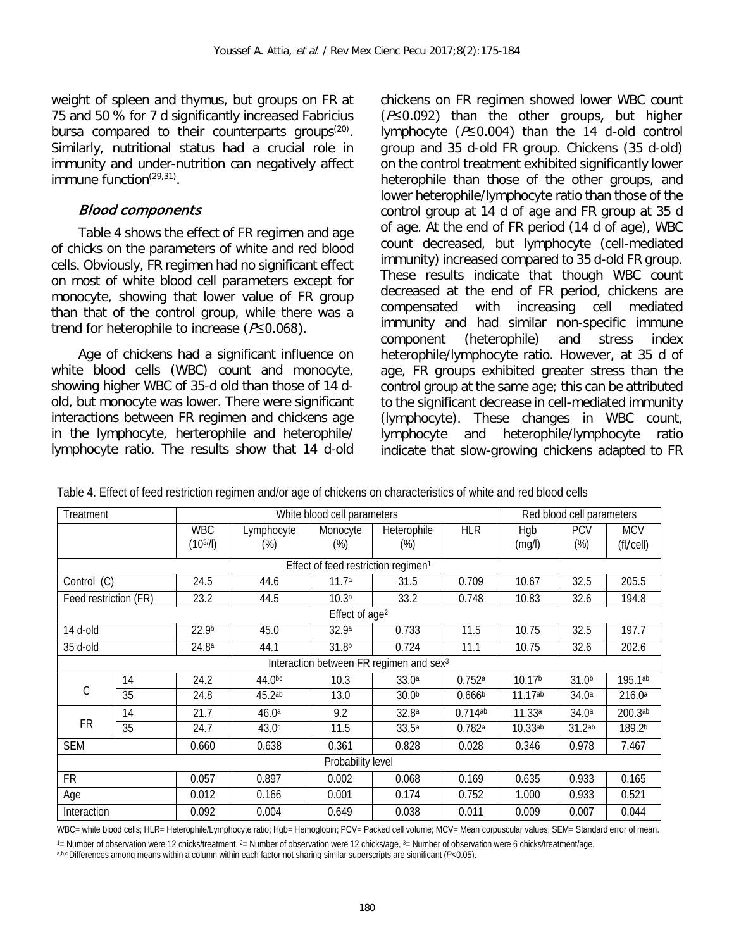weight of spleen and thymus, but groups on FR at 75 and 50 % for 7 d significantly increased Fabricius bursa compared to their counterparts groups $(20)$ . Similarly, nutritional status had a crucial role in immunity and under-nutrition can negatively affect immune function<sup>(29,31)</sup>.

#### Blood components

Table 4 shows the effect of FR regimen and age of chicks on the parameters of white and red blood cells. Obviously, FR regimen had no significant effect on most of white blood cell parameters except for monocyte, showing that lower value of FR group than that of the control group, while there was a trend for heterophile to increase ( $P\leq 0.068$ ).

Age of chickens had a significant influence on white blood cells (WBC) count and monocyte, showing higher WBC of 35-d old than those of 14 dold, but monocyte was lower. There were significant interactions between FR regimen and chickens age in the lymphocyte, herterophile and heterophile/ lymphocyte ratio. The results show that 14 d-old

chickens on FR regimen showed lower WBC count  $(P \le 0.092)$  than the other groups, but higher lymphocyte (P≤0.004) than the 14 d-old control group and 35 d-old FR group. Chickens (35 d-old) on the control treatment exhibited significantly lower heterophile than those of the other groups, and lower heterophile/lymphocyte ratio than those of the control group at 14 d of age and FR group at 35 d of age. At the end of FR period (14 d of age), WBC count decreased, but lymphocyte (cell-mediated immunity) increased compared to 35 d-old FR group. These results indicate that though WBC count decreased at the end of FR period, chickens are compensated with increasing cell mediated immunity and had similar non-specific immune component (heterophile) and stress index heterophile/lymphocyte ratio. However, at 35 d of age, FR groups exhibited greater stress than the control group at the same age; this can be attributed to the significant decrease in cell-mediated immunity (lymphocyte). These changes in WBC count,<br>lymphocyte and heterophile/lymphocyte ratio heterophile/lymphocyte ratio indicate that slow-growing chickens adapted to FR

| Treatment                                           |    |                            | White blood cell parameters | Red blood cell parameters                       |                    |                       |               |                      |                         |
|-----------------------------------------------------|----|----------------------------|-----------------------------|-------------------------------------------------|--------------------|-----------------------|---------------|----------------------|-------------------------|
|                                                     |    | <b>WBC</b><br>$(10^{3}/I)$ | Lymphocyte<br>(%)           | Monocyte<br>$(\%)$                              | Heterophile<br>(%) | <b>HLR</b>            | Hgb<br>(mg/l) | <b>PCV</b><br>$(\%)$ | <b>MCV</b><br>(fl/cell) |
|                                                     |    |                            |                             | Effect of feed restriction regimen <sup>1</sup> |                    |                       |               |                      |                         |
| Control (C)                                         |    | 24.5                       | 44.6                        | 11.7 <sup>a</sup>                               | 31.5               | 0.709                 | 10.67         | 32.5                 | 205.5                   |
| Feed restriction (FR)                               |    | 23.2                       | 44.5                        | 10.3 <sup>b</sup>                               | 33.2               | 0.748                 | 10.83         | 32.6                 | 194.8                   |
|                                                     |    |                            |                             | Effect of age <sup>2</sup>                      |                    |                       |               |                      |                         |
| 14 d-old                                            |    | 22.9b                      | 45.0                        | 32.9a                                           | 0.733              | 11.5                  | 10.75         | 32.5                 | 197.7                   |
| 35 d-old                                            |    | 24.8 <sup>a</sup>          | 44.1                        | 31.8 <sup>b</sup>                               | 0.724              | 11.1                  | 10.75         | 32.6                 | 202.6                   |
| Interaction between FR regimen and sex <sup>3</sup> |    |                            |                             |                                                 |                    |                       |               |                      |                         |
|                                                     | 14 | 24.2                       | 44.0bc                      | 10.3                                            | 33.0a              | 0.752a                | 10.17b        | 31.0 <sup>b</sup>    | 195.1ab                 |
| С                                                   | 35 | 24.8                       | 45.2ab                      | 13.0                                            | 30.0 <sup>b</sup>  | 0.666 <sup>b</sup>    | $11.17^{ab}$  | 34.0 <sup>a</sup>    | 216.0a                  |
|                                                     | 14 | 21.7                       | 46.0a                       | 9.2                                             | 32.8a              | $0.714$ <sup>ab</sup> | 11.33a        | 34.0 <sup>a</sup>    | 200.3ab                 |
| <b>FR</b>                                           | 35 | 24.7                       | 43.0 <sup>c</sup>           | 11.5                                            | 33.5a              | 0.782a                | 10.33ab       | 31.2ab               | 189.2b                  |
| <b>SEM</b>                                          |    |                            | 0.638                       | 0.361                                           | 0.828              | 0.028                 | 0.346         | 0.978                | 7.467                   |
| Probability level                                   |    |                            |                             |                                                 |                    |                       |               |                      |                         |
| <b>FR</b>                                           |    | 0.057                      | 0.897                       | 0.002                                           | 0.068              | 0.169                 | 0.635         | 0.933                | 0.165                   |
| Age                                                 |    | 0.012                      | 0.166                       | 0.001                                           | 0.174              | 0.752                 | 1.000         | 0.933                | 0.521                   |
| Interaction                                         |    |                            | 0.004                       | 0.649                                           | 0.038              | 0.011                 | 0.009         | 0.007                | 0.044                   |

Table 4. Effect of feed restriction regimen and/or age of chickens on characteristics of white and red blood cells

WBC= white blood cells; HLR= Heterophile/Lymphocyte ratio; Hgb= Hemoglobin; PCV= Packed cell volume; MCV= Mean corpuscular values; SEM= Standard error of mean.

<sup>1</sup> = Number of observation were 12 chicks/treatment, <sup>2</sup> = Number of observation were 12 chicks/age, <sup>3</sup> = Number of observation were 6 chicks/treatment/age.

a,b,c Differences among means within a column within each factor not sharing similar superscripts are significant (*P*<0.05).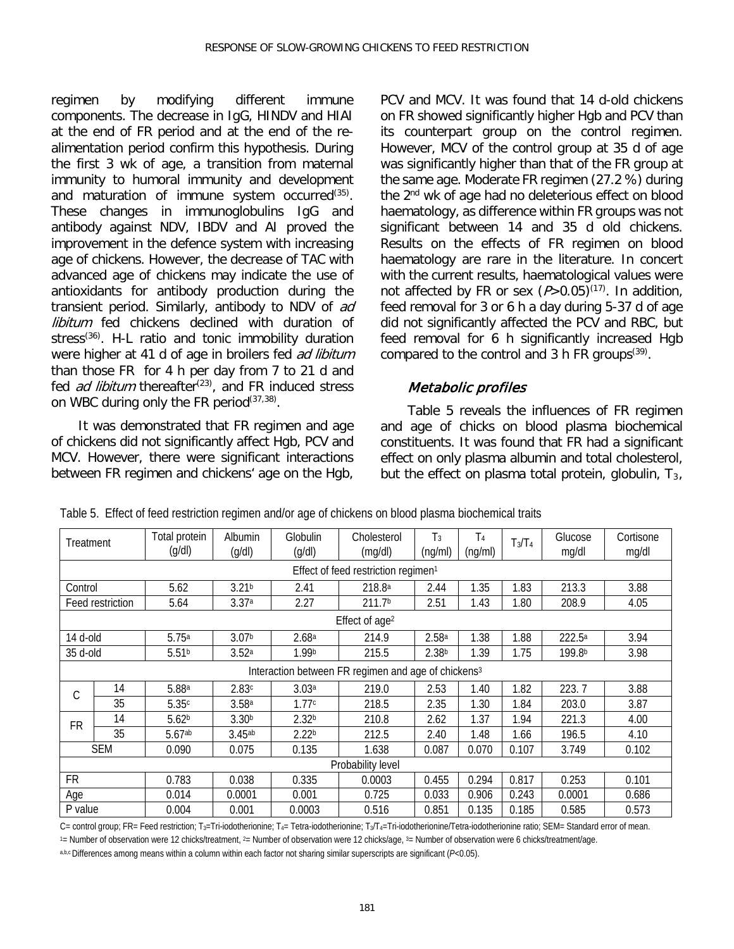regimen by modifying different immune components. The decrease in IgG, HINDV and HIAI at the end of FR period and at the end of the realimentation period confirm this hypothesis. During the first 3 wk of age, a transition from maternal immunity to humoral immunity and development and maturation of immune system occurred<sup>(35)</sup>. These changes in immunoglobulins IgG and antibody against NDV, IBDV and AI proved the improvement in the defence system with increasing age of chickens. However, the decrease of TAC with advanced age of chickens may indicate the use of antioxidants for antibody production during the transient period. Similarly, antibody to NDV of ad libitum fed chickens declined with duration of stress<sup>(36)</sup>. H-L ratio and tonic immobility duration were higher at 41 d of age in broilers fed ad libitum than those FR for 4 h per day from 7 to 21 d and fed *ad libitum* thereafter<sup>(23)</sup>, and FR induced stress on WBC during only the FR period  $(37,38)$ .

It was demonstrated that FR regimen and age of chickens did not significantly affect Hgb, PCV and MCV. However, there were significant interactions between FR regimen and chickens' age on the Hgb,

PCV and MCV. It was found that 14 d-old chickens on FR showed significantly higher Hgb and PCV than its counterpart group on the control regimen. However, MCV of the control group at 35 d of age was significantly higher than that of the FR group at the same age. Moderate FR regimen (27.2 %) during the 2nd wk of age had no deleterious effect on blood haematology, as difference within FR groups was not significant between 14 and 35 d old chickens. Results on the effects of FR regimen on blood haematology are rare in the literature. In concert with the current results, haematological values were not affected by FR or sex  $(P>0.05)^{(17)}$ . In addition, feed removal for 3 or 6 h a day during 5-37 d of age did not significantly affected the PCV and RBC, but feed removal for 6 h significantly increased Hgb compared to the control and 3 h FR groups<sup> $(39)$ </sup>.

### Metabolic profiles

Table 5 reveals the influences of FR regimen and age of chicks on blood plasma biochemical constituents. It was found that FR had a significant effect on only plasma albumin and total cholesterol, but the effect on plasma total protein, globulin,  $T_3$ ,

| Treatment                                       |                   | Total protein<br>(q/dl) | Albumin              | Globulin          | Cholesterol                                                     | $T_3$             | T4      | $T_3/T_4$ | Glucose<br>mg/dl   | Cortisone |
|-------------------------------------------------|-------------------|-------------------------|----------------------|-------------------|-----------------------------------------------------------------|-------------------|---------|-----------|--------------------|-----------|
|                                                 |                   |                         | (q/dl)               | (g/dl)            | (mg/dl)                                                         | (ng/ml)           | (ng/ml) |           |                    | mg/dl     |
| Effect of feed restriction regimen <sup>1</sup> |                   |                         |                      |                   |                                                                 |                   |         |           |                    |           |
| Control                                         |                   | 5.62                    | 3.21 <sup>b</sup>    | 2.41              | 218.8 <sup>a</sup>                                              | 2.44              | 1.35    | 1.83      | 213.3              | 3.88      |
|                                                 | Feed restriction  | 5.64                    | 3.37a                | 2.27              | 211.7 <sup>b</sup>                                              | 2.51              | 1.43    | 1.80      | 208.9              | 4.05      |
|                                                 |                   |                         |                      |                   | Effect of age <sup>2</sup>                                      |                   |         |           |                    |           |
| 14 d-old                                        |                   | 5.75a                   | 3.07 <sup>b</sup>    | 2.68 <sup>a</sup> | 214.9                                                           | 2.58 <sup>a</sup> | 1.38    | 1.88      | 222.5 <sup>a</sup> | 3.94      |
| 35 d-old                                        |                   | 5.51 <sup>b</sup>       | 3.52a                | 1.99b             | 215.5                                                           | 2.38 <sup>b</sup> | 1.39    | 1.75      | 199.8 <sup>b</sup> | 3.98      |
|                                                 |                   |                         |                      |                   | Interaction between FR regimen and age of chickens <sup>3</sup> |                   |         |           |                    |           |
| C                                               | 14                | 5.88a                   | 2.83c                | 3.03 <sup>a</sup> | 219.0                                                           | 2.53              | 1.40    | 1.82      | 223.7              | 3.88      |
|                                                 | 35                | 5.35c                   | 3.58 <sup>a</sup>    | 1.77c             | 218.5                                                           | 2.35              | 1.30    | 1.84      | 203.0              | 3.87      |
| <b>FR</b>                                       | 14                | 5.62 <sup>b</sup>       | 3.30 <sup>b</sup>    | 2.32 <sup>b</sup> | 210.8                                                           | 2.62              | 1.37    | 1.94      | 221.3              | 4.00      |
|                                                 | 35                | 5.67ab                  | $3.45$ <sup>ab</sup> | 2.22 <sup>b</sup> | 212.5                                                           | 2.40              | 1.48    | 1.66      | 196.5              | 4.10      |
|                                                 | <b>SEM</b>        | 0.090                   | 0.075                | 0.135             | 1.638                                                           | 0.087             | 0.070   | 0.107     | 3.749              | 0.102     |
|                                                 | Probability level |                         |                      |                   |                                                                 |                   |         |           |                    |           |
| <b>FR</b>                                       |                   | 0.783                   | 0.038                | 0.335             | 0.0003                                                          | 0.455             | 0.294   | 0.817     | 0.253              | 0.101     |
| Age                                             |                   | 0.014                   | 0.0001               | 0.001             | 0.725                                                           | 0.033             | 0.906   | 0.243     | 0.0001             | 0.686     |
| P value                                         |                   | 0.004                   | 0.001                | 0.0003            | 0.516                                                           | 0.851             | 0.135   | 0.185     | 0.585              | 0.573     |

Table 5. Effect of feed restriction regimen and/or age of chickens on blood plasma biochemical traits

C= control group; FR= Feed restriction; T<sub>3</sub>=Tri-iodotherionine; T<sub>4</sub>= Tetra-iodotherionine; T<sub>3</sub>/T<sub>4</sub>=Tri-iodotherionine/Tetra-iodotherionine ratio; SEM= Standard error of mean.

<sup>1</sup> = Number of observation were 12 chicks/treatment, <sup>2</sup> = Number of observation were 12 chicks/age, <sup>3</sup> = Number of observation were 6 chicks/treatment/age.

a,b,c Differences among means within a column within each factor not sharing similar superscripts are significant (*P*<0.05).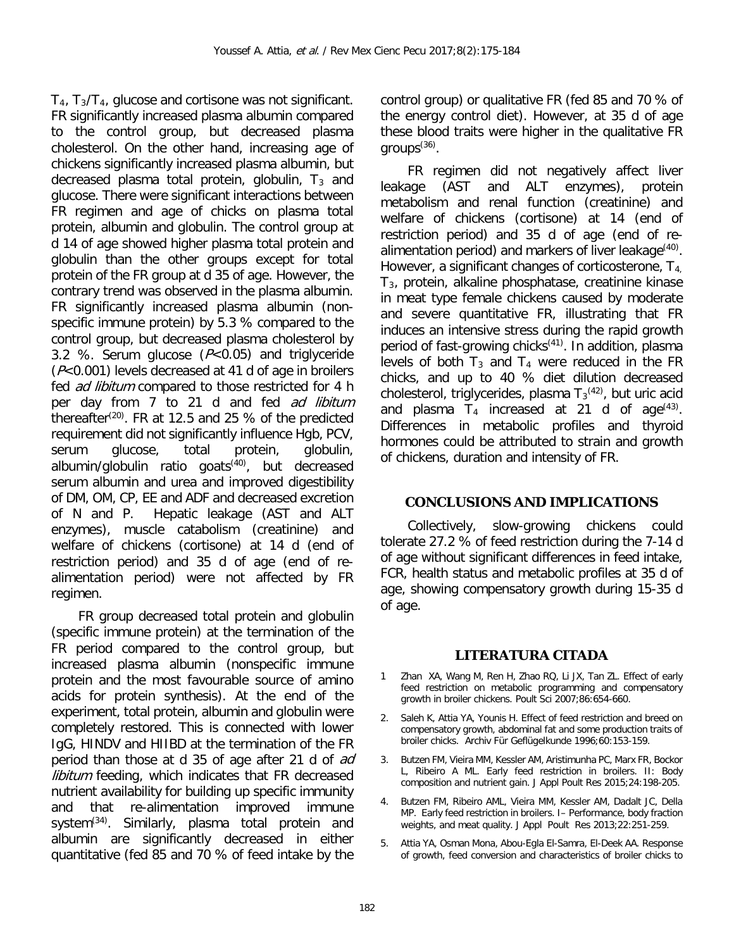$T_4$ ,  $T_3/T_4$ , glucose and cortisone was not significant. FR significantly increased plasma albumin compared to the control group, but decreased plasma cholesterol. On the other hand, increasing age of chickens significantly increased plasma albumin, but decreased plasma total protein, globulin,  $T_3$  and glucose. There were significant interactions between FR regimen and age of chicks on plasma total protein, albumin and globulin. The control group at d 14 of age showed higher plasma total protein and globulin than the other groups except for total protein of the FR group at d 35 of age. However, the contrary trend was observed in the plasma albumin. FR significantly increased plasma albumin (nonspecific immune protein) by 5.3 % compared to the control group, but decreased plasma cholesterol by 3.2 %. Serum glucose  $(P< 0.05)$  and triglyceride (P<0.001) levels decreased at 41 d of age in broilers fed *ad libitum* compared to those restricted for 4 h per day from 7 to 21 d and fed ad libitum thereafter<sup>(20)</sup>. FR at 12.5 and 25 % of the predicted requirement did not significantly influence Hgb, PCV, serum glucose, total protein, globulin, albumin/globulin ratio goats $(40)$ , but decreased serum albumin and urea and improved digestibility of DM, OM, CP, EE and ADF and decreased excretion of N and P. Hepatic leakage (AST and ALT enzymes), muscle catabolism (creatinine) and welfare of chickens (cortisone) at 14 d (end of restriction period) and 35 d of age (end of realimentation period) were not affected by FR regimen.

FR group decreased total protein and globulin (specific immune protein) at the termination of the FR period compared to the control group, but increased plasma albumin (nonspecific immune protein and the most favourable source of amino acids for protein synthesis). At the end of the experiment, total protein, albumin and globulin were completely restored. This is connected with lower IgG, HINDV and HIIBD at the termination of the FR period than those at d 35 of age after 21 d of ad libitum feeding, which indicates that FR decreased nutrient availability for building up specific immunity and that re-alimentation improved immune system $^{(34)}$ . Similarly, plasma total protein and albumin are significantly decreased in either quantitative (fed 85 and 70 % of feed intake by the

control group) or qualitative FR (fed 85 and 70 % of the energy control diet). However, at 35 d of age these blood traits were higher in the qualitative FR aroups $^{(36)}$ .

FR regimen did not negatively affect liver leakage (AST and ALT enzymes), protein metabolism and renal function (creatinine) and welfare of chickens (cortisone) at 14 (end of restriction period) and 35 d of age (end of realimentation period) and markers of liver leakage $(40)$ . However, a significant changes of corticosterone,  $T_{4}$ T3, protein, alkaline phosphatase, creatinine kinase in meat type female chickens caused by moderate and severe quantitative FR, illustrating that FR induces an intensive stress during the rapid growth period of fast-growing chicks $(41)$ . In addition, plasma levels of both  $T_3$  and  $T_4$  were reduced in the FR chicks, and up to 40 % diet dilution decreased cholesterol, triglycerides, plasma T $_3$ <sup>(42)</sup>, but uric acid and plasma  $T_4$  increased at 21 d of age<sup> $(43)$ </sup>. Differences in metabolic profiles and thyroid hormones could be attributed to strain and growth of chickens, duration and intensity of FR.

#### **CONCLUSIONS AND IMPLICATIONS**

Collectively, slow-growing chickens could tolerate 27.2 % of feed restriction during the 7-14 d of age without significant differences in feed intake, FCR, health status and metabolic profiles at 35 d of age, showing compensatory growth during 15-35 d of age.

## **LITERATURA CITADA**

- Zhan XA, Wang M, Ren H, Zhao RQ, Li JX, Tan ZL. Effect of early feed restriction on metabolic programming and compensatory growth in broiler chickens. Poult Sci 2007;86:654-660.
- Saleh K, Attia YA, Younis H. Effect of feed restriction and breed on compensatory growth, abdominal fat and some production traits of broiler chicks. Archiv Für Geflügelkunde 1996;60:153-159.
- 3. Butzen FM, Vieira MM, Kessler AM, Aristimunha PC, Marx FR, Bockor L, Ribeiro A ML. Early feed restriction in broilers. II: Body composition and nutrient gain. J Appl Poult Res 2015;24:198-205.
- 4. Butzen FM, Ribeiro AML, Vieira MM, Kessler AM, Dadalt JC, Della MP. Early feed restriction in broilers. I– Performance, body fraction weights, and meat quality. J Appl Poult Res 2013;22:251-259.
- 5. Attia YA, Osman Mona, Abou-Egla El-Samra, El-Deek AA. Response of growth, feed conversion and characteristics of broiler chicks to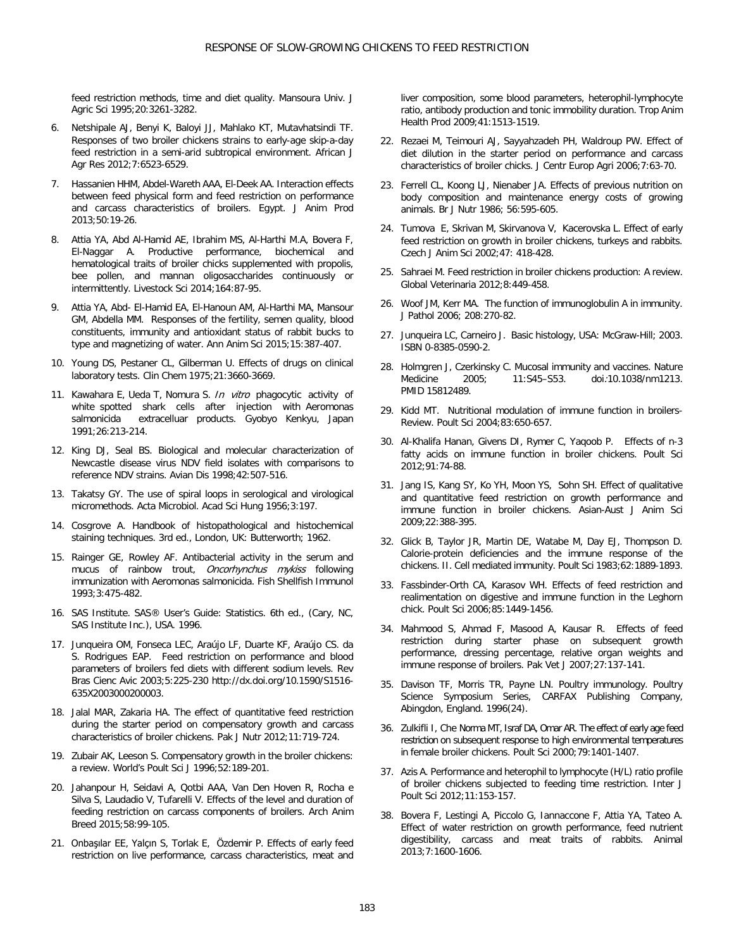feed restriction methods, time and diet quality. Mansoura Univ. J Agric Sci 1995;20:3261-3282.

- 6. Netshipale AJ, Benyi K, Baloyi JJ, Mahlako KT, Mutavhatsindi TF. Responses of two broiler chickens strains to early-age skip-a-day feed restriction in a semi-arid subtropical environment. African J Agr Res 2012;7:6523-6529.
- 7. Hassanien HHM, Abdel-Wareth AAA, El-Deek AA. Interaction effects between feed physical form and feed restriction on performance and carcass characteristics of broilers. Egypt. J Anim Prod 2013;50:19-26.
- 8. Attia YA, Abd Al-Hamid AE, Ibrahim MS, Al-Harthi M.A, Bovera F, El-Naggar A. Productive performance, biochemical and hematological traits of broiler chicks supplemented with propolis, bee pollen, and mannan oligosaccharides continuously or intermittently. Livestock Sci 2014;164:87-95.
- 9. Attia YA, Abd- El-Hamid EA, El-Hanoun AM, Al-Harthi MA, Mansour GM, Abdella MM. Responses of the fertility, semen quality, blood constituents, immunity and antioxidant status of rabbit bucks to type and magnetizing of water. Ann Anim Sci 2015;15:387-407.
- 10. Young DS, Pestaner CL, Gilberman U. Effects of drugs on clinical laboratory tests. Clin Chem 1975;21:3660-3669.
- 11. Kawahara E, Ueda T, Nomura S. In vitro phagocytic activity of white spotted shark cells after injection with Aeromonas salmonicida extracelluar products. Gyobyo Kenkyu, Japan 1991;26:213-214.
- 12. King DJ, Seal BS. Biological and molecular characterization of Newcastle disease virus NDV field isolates with comparisons to reference NDV strains. Avian Dis 1998;42:507-516.
- 13. Takatsy GY. The use of spiral loops in serological and virological micromethods. Acta Microbiol. Acad Sci Hung 1956;3:197.
- 14. Cosgrove A. Handbook of histopathological and histochemical staining techniques. 3rd ed., London, UK: Butterworth; 1962.
- 15. Rainger GE, Rowley AF. Antibacterial activity in the serum and mucus of rainbow trout, Oncorhynchus mykiss following immunization with Aeromonas salmonicida. Fish Shellfish Immunol 1993;3:475-482.
- 16. SAS Institute. SAS® User's Guide: Statistics. 6th ed., (Cary, NC, SAS Institute Inc.), USA. 1996.
- 17. Junqueira OM, Fonseca LEC, Araújo LF, Duarte KF, Araújo CS. da S. Rodrigues EAP. Feed restriction on performance and blood parameters of broilers fed diets with different sodium levels. Rev Bras Cienc Avic 2003;5:225-230 http://dx.doi.org/10.1590/S1516- 635X2003000200003.
- 18. Jalal MAR, Zakaria HA. The effect of quantitative feed restriction during the starter period on compensatory growth and carcass characteristics of broiler chickens. Pak J Nutr 2012;11:719-724.
- 19. Zubair AK, Leeson S. Compensatory growth in the broiler chickens: a review. World's Poult Sci J 1996;52:189-201.
- 20. Jahanpour H, Seidavi A, Qotbi AAA, Van Den Hoven R, Rocha e Silva S, Laudadio V, Tufarelli V. Effects of the level and duration of feeding restriction on carcass components of broilers. Arch Anim Breed 2015;58:99-105.
- 21. [Onbaşılar](http://link.springer.com/search?facet-author=%22E.+E.+Onba%C5%9F%C4%B1lar%22) EE, [Yalçın](http://link.springer.com/search?facet-author=%22S.+Yal%C3%A7%C4%B1n%22) S, [Torlak](http://link.springer.com/search?facet-author=%22E.+Torlak%22) E, [Özdemir](http://link.springer.com/search?facet-author=%22P.+%C3%96zdemir%22) P. Effects of early feed restriction on live performance, carcass characteristics, meat and

liver composition, some blood parameters, heterophil-lymphocyte ratio, antibody production and tonic immobility duration. [Trop Anim](http://link.springer.com/journal/11250)  [Health Prod](http://link.springer.com/journal/11250) 2009;41:1513-1519.

- 22. Rezaei M, Teimouri AJ, Sayyahzadeh PH, Waldroup PW. Effect of diet dilution in the starter period on performance and carcass characteristics of broiler chicks. J Centr Europ Agri 2006;7:63-70.
- 23. Ferrell CL, Koong LJ, Nienaber JA. Effects of previous nutrition on body composition and maintenance energy costs of growing animals. Br J Nutr 1986; 56:595-605.
- 24. Tumova E, Skrivan M, Skirvanova V, Kacerovska L. Effect of early feed restriction on growth in broiler chickens, turkeys and rabbits. Czech J Anim Sci 2002;47: 418-428.
- 25. Sahraei M. Feed restriction in broiler chickens production: A review. Global Veterinaria 2012;8:449-458.
- 26. [Woof JM,](http://www.ncbi.nlm.nih.gov/pubmed/?term=Woof%20JM%5BAuthor%5D&cauthor=true&cauthor_uid=16362985) [Kerr MA.](http://www.ncbi.nlm.nih.gov/pubmed/?term=Kerr%20MA%5BAuthor%5D&cauthor=true&cauthor_uid=16362985) The function of immunoglobulin A in immunity. [J Pathol](http://www.ncbi.nlm.nih.gov/pubmed/16362985) 2006; 208:270-82.
- 27. Junqueira LC, Carneiro J. Basic histology, USA: McGraw-Hill; 2003. [ISBN](https://en.wikipedia.org/wiki/International_Standard_Book_Number) [0-8385-0590-2.](https://en.wikipedia.org/wiki/Special:BookSources/0-8385-0590-2)
- 28. Holmgren J, Czerkinsky C. Mucosal immunity and vaccines. Nature<br>Medicine 2005: 11:S45-S53. doi:10.1038/nm1213. Medicine 2005; 11:S45–S53. [doi](https://en.wikipedia.org/wiki/Digital_object_identifier):[10.1038/nm1213](https://dx.doi.org/10.1038%2Fnm1213). [PMID](https://en.wikipedia.org/wiki/PubMed_Identifier) [15812489.](https://www.ncbi.nlm.nih.gov/pubmed/15812489)
- 29. Kidd MT. Nutritional modulation of immune function in broilers-Review. Poult Sci 2004;83:650-657.
- 30. Al-Khalifa Hanan, Givens DI, Rymer C, Yaqoob P. Effects of n-3 fatty acids on immune function in broiler chickens. Poult Sci 2012;91:74-88.
- 31. Jang IS, Kang SY, Ko YH, Moon YS, Sohn SH. Effect of qualitative and quantitative feed restriction on growth performance and immune function in broiler chickens. Asian-Aust J Anim Sci 2009;22:388-395.
- 32. Glick B, Taylor JR, Martin DE, Watabe M, Day EJ, Thompson D. Calorie-protein deficiencies and the immune response of the chickens. II. Cell mediated immunity. Poult Sci 1983;62:1889-1893.
- 33. Fassbinder-Orth CA, Karasov WH. Effects of feed restriction and realimentation on digestive and immune function in the Leghorn chick. Poult Sci 2006;85:1449-1456.
- 34. Mahmood S, Ahmad F, Masood A, Kausar R. Effects of feed restriction during starter phase on subsequent growth performance, dressing percentage, relative organ weights and immune response of broilers. Pak Vet J 2007;27:137-141.
- 35. Davison TF, Morris TR, Payne LN. Poultry immunology. Poultry Science Symposium Series, CARFAX Publishing Company, Abingdon, England. 1996(24).
- 36. Zulkifli I, Che Norma MT, Israf DA, Omar AR. The effect of early age feed restriction on subsequent response to high environmental temperatures in female broiler chickens. Poult Sci 2000;79:1401-1407.
- 37. Azis A. Performance and heterophil to lymphocyte (H/L) ratio profile of broiler chickens subjected to feeding time restriction. Inter J Poult Sci 2012;11:153-157.
- 38. Bovera F, Lestingi A, Piccolo G, Iannaccone F, Attia YA, Tateo A. Effect of water restriction on growth performance, feed nutrient digestibility, carcass and meat traits of rabbits. Animal 2013;7:1600-1606.